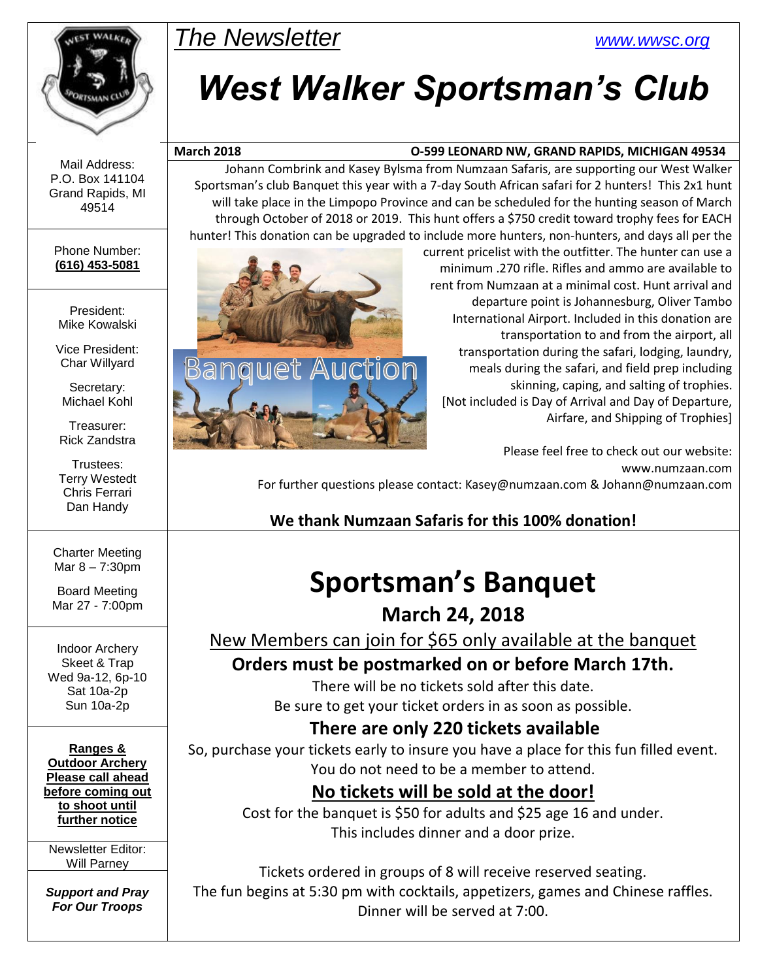

Mail Address: P.O. Box 141104 Grand Rapids, MI 49514

#### Phone Number: **(616) 453-5081**

President: Mike Kowalski

Vice President: Char Willyard

Secretary: Michael Kohl

Treasurer: Rick Zandstra

Trustees: Terry Westedt Chris Ferrari Dan Handy

Charter Meeting Mar 8 – 7:30pm

Board Meeting Mar 27 - 7:00pm

Indoor Archery Skeet & Trap Wed 9a-12, 6p-10 Sat 10a-2p Sun 10a-2p

**Ranges & Outdoor Archery Please call ahead before coming out to shoot until further notice**

Newsletter Editor: Will Parney

*Support and Pray For Our Troops*

# *The Newsletter [www.wwsc.org](http://www.wwsc.org/)*

# *West Walker Sportsman's Club*

#### **March 2018 O-599 LEONARD NW, GRAND RAPIDS, MICHIGAN 49534**

Johann Combrink and Kasey Bylsma from Numzaan Safaris, are supporting our West Walker Sportsman's club Banquet this year with a 7-day South African safari for 2 hunters! This 2x1 hunt will take place in the Limpopo Province and can be scheduled for the hunting season of March through October of 2018 or 2019. This hunt offers a \$750 credit toward trophy fees for EACH hunter! This donation can be upgraded to include more hunters, non-hunters, and days all per the



current pricelist with the outfitter. The hunter can use a minimum .270 rifle. Rifles and ammo are available to rent from Numzaan at a minimal cost. Hunt arrival and departure point is Johannesburg, Oliver Tambo International Airport. Included in this donation are transportation to and from the airport, all transportation during the safari, lodging, laundry, meals during the safari, and field prep including skinning, caping, and salting of trophies. [Not included is Day of Arrival and Day of Departure, Airfare, and Shipping of Trophies]

Please feel free to check out our website: www.numzaan.com For further questions please contact: Kasey@numzaan.com & Johann@numzaan.com

## **We thank Numzaan Safaris for this 100% donation!**

# **Sportsman's Banquet**

**March 24, 2018**

New Members can join for \$65 only available at the banquet

**Orders must be postmarked on or before March 17th.**

There will be no tickets sold after this date. Be sure to get your ticket orders in as soon as possible.

## **There are only 220 tickets available**

So, purchase your tickets early to insure you have a place for this fun filled event. You do not need to be a member to attend.

# **No tickets will be sold at the door!**

Cost for the banquet is \$50 for adults and \$25 age 16 and under. This includes dinner and a door prize.

Tickets ordered in groups of 8 will receive reserved seating. The fun begins at 5:30 pm with cocktails, appetizers, games and Chinese raffles. Dinner will be served at 7:00.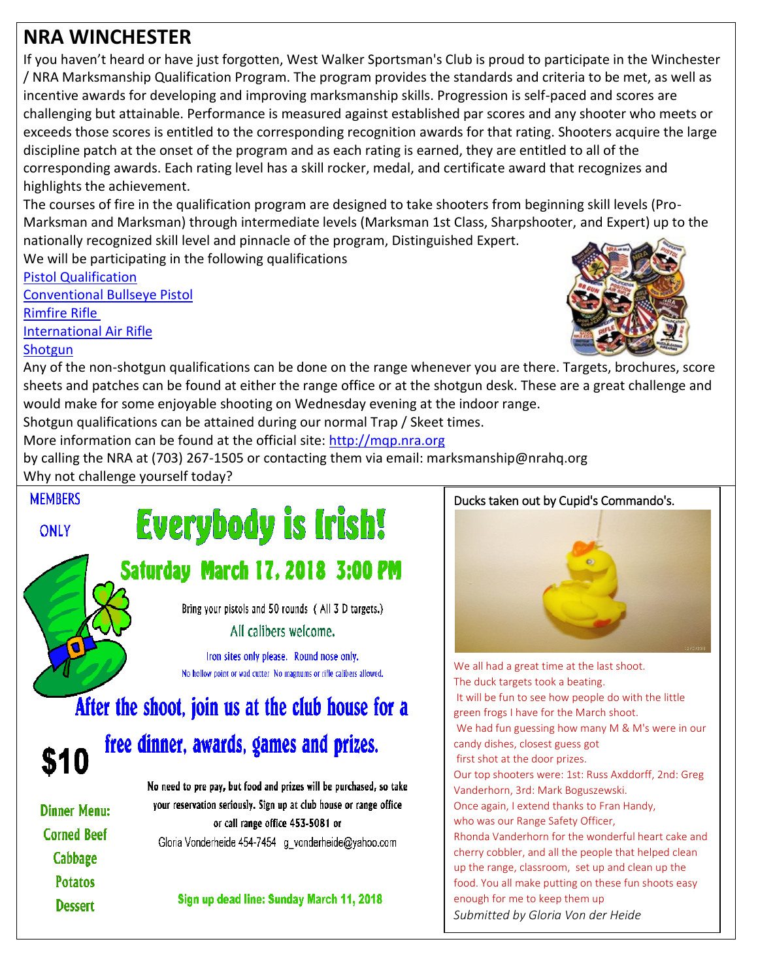# **NRA WINCHESTER**

If you haven't heard or have just forgotten, West Walker Sportsman's Club is proud to participate in the Winchester / NRA Marksmanship Qualification Program. The program provides the standards and criteria to be met, as well as incentive awards for developing and improving marksmanship skills. Progression is self-paced and scores are challenging but attainable. Performance is measured against established par scores and any shooter who meets or exceeds those scores is entitled to the corresponding recognition awards for that rating. Shooters acquire the large discipline patch at the onset of the program and as each rating is earned, they are entitled to all of the corresponding awards. Each rating level has a skill rocker, medal, and certificate award that recognizes and highlights the achievement.

The courses of fire in the qualification program are designed to take shooters from beginning skill levels (Pro-Marksman and Marksman) through intermediate levels (Marksman 1st Class, Sharpshooter, and Expert) up to the nationally recognized skill level and pinnacle of the program, Distinguished Expert.

We will be participating in the following qualifications

[Pistol Qualification](https://mqp.nra.org/media/4205/pistol-qualification.pdf) [Conventional Bullseye Pistol](https://mqp.nra.org/media/4198/conventional-bullseye.pdf) [Rimfire Rifle](https://mqp.nra.org/media/4206/rimfire-rifle.pdf) [International Air Rifle](https://mqp.nra.org/media/4203/international-air-rifle.pdf)

#### **[Shotgun](https://mqp.nra.org/media/4209/shotgun2.pdf)**

Any of the non-shotgun qualifications can be done on the range whenever you are there. Targets, brochures, score sheets and patches can be found at either the range office or at the shotgun desk. These are a great challenge and would make for some enjoyable shooting on Wednesday evening at the indoor range.

l

Shotgun qualifications can be attained during our normal Trap / Skeet times.

More information can be found at the official site: [http://mqp.nra.org](http://mqp.nra.org/) 

by calling the NRA at (703) 267-1505 or contacting them via email: marksmanship@nrahq.org Why not challenge yourself today?





#### Ducks taken out by Cupid's Commando's.



We all had a great time at the last shoot. The duck targets took a beating. It will be fun to see how people do with the little green frogs I have for the March shoot. We had fun guessing how many M & M's were in our candy dishes, closest guess got first shot at the door prizes. Our top shooters were: 1st: Russ Axddorff, 2nd: Greg Vanderhorn, 3rd: Mark Boguszewski. Once again, I extend thanks to Fran Handy, who was our Range Safety Officer, Rhonda Vanderhorn for the wonderful heart cake and cherry cobbler, and all the people that helped clean up the range, classroom, set up and clean up the food. You all make putting on these fun shoots easy enough for me to keep them up *Submitted by Gloria Von der Heide*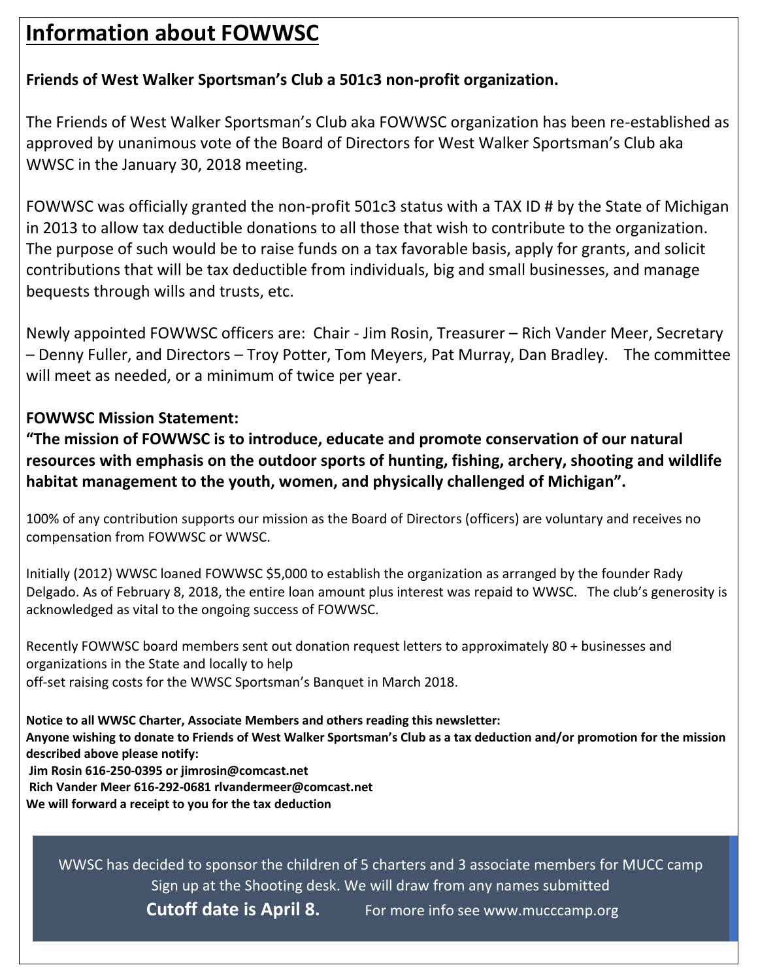# **Information about FOWWSC**

### **Friends of West Walker Sportsman's Club a 501c3 non-profit organization.**

The Friends of West Walker Sportsman's Club aka FOWWSC organization has been re-established as approved by unanimous vote of the Board of Directors for West Walker Sportsman's Club aka WWSC in the January 30, 2018 meeting.

FOWWSC was officially granted the non-profit 501c3 status with a TAX ID # by the State of Michigan in 2013 to allow tax deductible donations to all those that wish to contribute to the organization. The purpose of such would be to raise funds on a tax favorable basis, apply for grants, and solicit contributions that will be tax deductible from individuals, big and small businesses, and manage bequests through wills and trusts, etc.

Newly appointed FOWWSC officers are: Chair - Jim Rosin, Treasurer – Rich Vander Meer, Secretary – Denny Fuller, and Directors – Troy Potter, Tom Meyers, Pat Murray, Dan Bradley. The committee will meet as needed, or a minimum of twice per year.

#### **FOWWSC Mission Statement:**

**"The mission of FOWWSC is to introduce, educate and promote conservation of our natural resources with emphasis on the outdoor sports of hunting, fishing, archery, shooting and wildlife habitat management to the youth, women, and physically challenged of Michigan".**

100% of any contribution supports our mission as the Board of Directors (officers) are voluntary and receives no compensation from FOWWSC or WWSC.

Initially (2012) WWSC loaned FOWWSC \$5,000 to establish the organization as arranged by the founder Rady Delgado. As of February 8, 2018, the entire loan amount plus interest was repaid to WWSC. The club's generosity is acknowledged as vital to the ongoing success of FOWWSC.

Recently FOWWSC board members sent out donation request letters to approximately 80 + businesses and organizations in the State and locally to help off-set raising costs for the WWSC Sportsman's Banquet in March 2018.

**Notice to all WWSC Charter, Associate Members and others reading this newsletter: Anyone wishing to donate to Friends of West Walker Sportsman's Club as a tax deduction and/or promotion for the mission described above please notify: Jim Rosin 616-250-0395 or jimrosin@comcast.net Rich Vander Meer 616-292-0681 rlvandermeer@comcast.net We will forward a receipt to you for the tax deduction**

WWSC has decided to sponsor the children of 5 charters and 3 associate members for MUCC camp Sign up at the Shooting desk. We will draw from any names submitted **Cutoff date is April 8.** For more info see www.mucccamp.org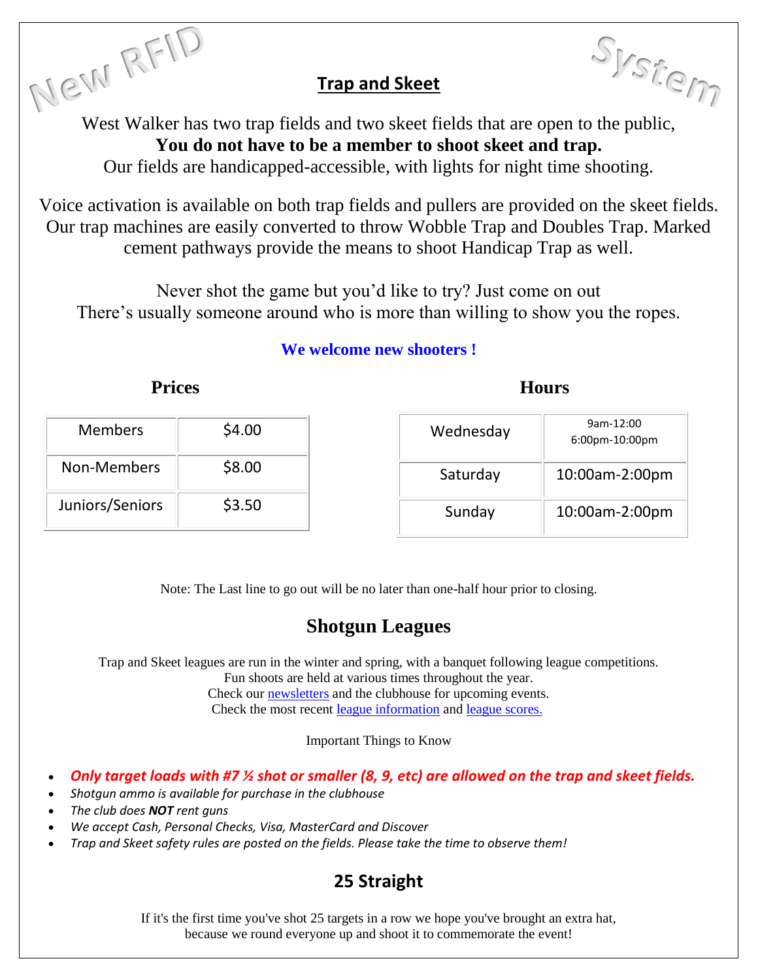### **Trap and Skeet**

Trap and Skeet<br>West Walker has two trap fields and two skeet fields that are open to the public, **You do not have to be a member to shoot skeet and trap.**

Our fields are handicapped-accessible, with lights for night time shooting.

Voice activation is available on both trap fields and pullers are provided on the skeet fields. Our trap machines are easily converted to throw Wobble Trap and Doubles Trap. Marked cement pathways provide the means to shoot Handicap Trap as well.

Never shot the game but you'd like to try? Just come on out There's usually someone around who is more than willing to show you the ropes.

#### **We welcome new shooters !**

#### **Prices** Hours

| <b>Members</b>  | \$4.00 | Wednesday | 9am-12:00<br>6:00pm-10:00pm |
|-----------------|--------|-----------|-----------------------------|
| Non-Members     | \$8.00 | Saturday  | 10:00am-2:00pm              |
| Juniors/Seniors | \$3.50 | Sunday    | 10:00am-2:00pm              |

Note: The Last line to go out will be no later than one-half hour prior to closing.

# **Shotgun Leagues**

Trap and Skeet leagues are run in the winter and spring, with a banquet following league competitions.

Fun shoots are held at various times throughout the year.

Check our [newsletters](http://www.wwsc.org/newsletters.shtml) and the clubhouse for upcoming events. Check the most recent [league information](http://www.wwsc.org/img/shotgun/LeagueInfo.pdf) and [league scores.](http://www.wwsc.org/img/shotgun/LeagueScores.pdf)

Important Things to Know

- *Only target loads with #7 ½ shot or smaller (8, 9, etc) are allowed on the trap and skeet fields.*
- *Shotgun ammo is available for purchase in the clubhouse*
- *The club does NOT rent guns*
- *We accept Cash, Personal Checks, Visa, MasterCard and Discover*
- *Trap and Skeet safety rules are posted on the fields. Please take the time to observe them!*

# **25 Straight**

If it's the first time you've shot 25 targets in a row we hope you've brought an extra hat, because we round everyone up and shoot it to commemorate the event!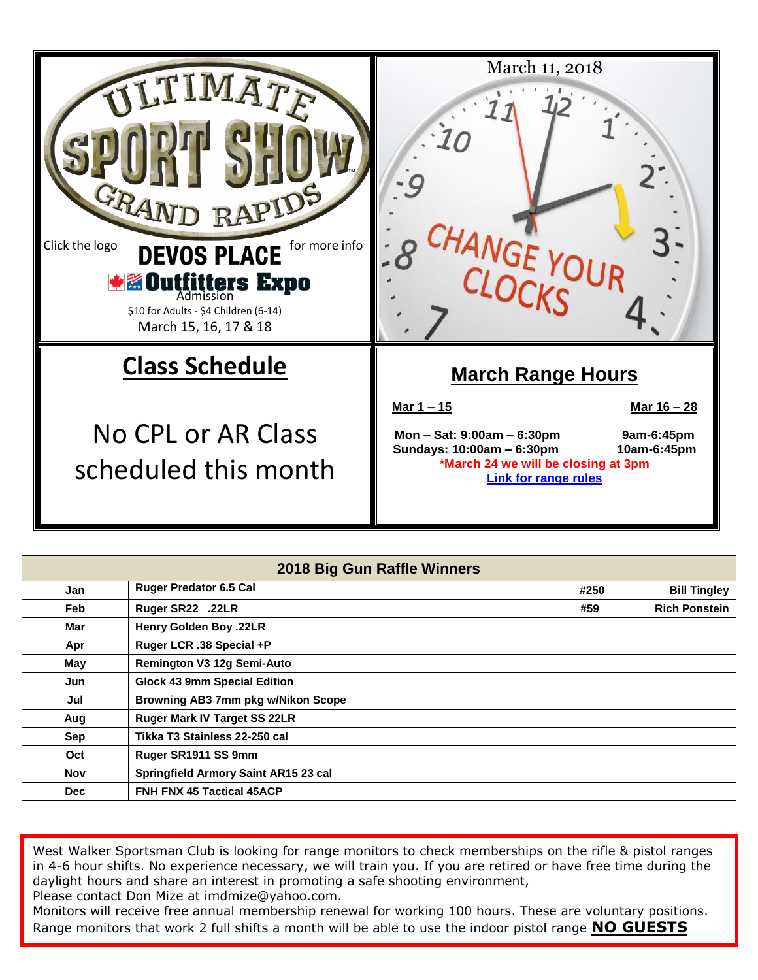

| 2018 Big Gun Raffle Winners |                                      |      |                      |  |  |  |  |
|-----------------------------|--------------------------------------|------|----------------------|--|--|--|--|
| Jan                         | <b>Ruger Predator 6.5 Cal</b>        | #250 | <b>Bill Tingley</b>  |  |  |  |  |
| <b>Feb</b>                  | Ruger SR22 .22LR                     | #59  | <b>Rich Ponstein</b> |  |  |  |  |
| Mar                         | Henry Golden Boy .22LR               |      |                      |  |  |  |  |
| Apr                         | Ruger LCR .38 Special +P             |      |                      |  |  |  |  |
| May                         | Remington V3 12g Semi-Auto           |      |                      |  |  |  |  |
| Jun                         | <b>Glock 43 9mm Special Edition</b>  |      |                      |  |  |  |  |
| Jul                         | Browning AB3 7mm pkg w/Nikon Scope   |      |                      |  |  |  |  |
| Aug                         | Ruger Mark IV Target SS 22LR         |      |                      |  |  |  |  |
| Sep                         | Tikka T3 Stainless 22-250 cal        |      |                      |  |  |  |  |
| Oct                         | Ruger SR1911 SS 9mm                  |      |                      |  |  |  |  |
| <b>Nov</b>                  | Springfield Armory Saint AR15 23 cal |      |                      |  |  |  |  |
| <b>Dec</b>                  | <b>FNH FNX 45 Tactical 45ACP</b>     |      |                      |  |  |  |  |

West Walker Sportsman Club is looking for range monitors to check memberships on the rifle & pistol ranges in 4-6 hour shifts. No experience necessary, we will train you. If you are retired or have free time during the daylight hours and share an interest in promoting a safe shooting environment, Please contact Don Mize at imdmize@yahoo.com.

Monitors will receive free annual membership renewal for working 100 hours. These are voluntary positions. Range monitors that work 2 full shifts a month will be able to use the indoor pistol range **NO GUESTS**